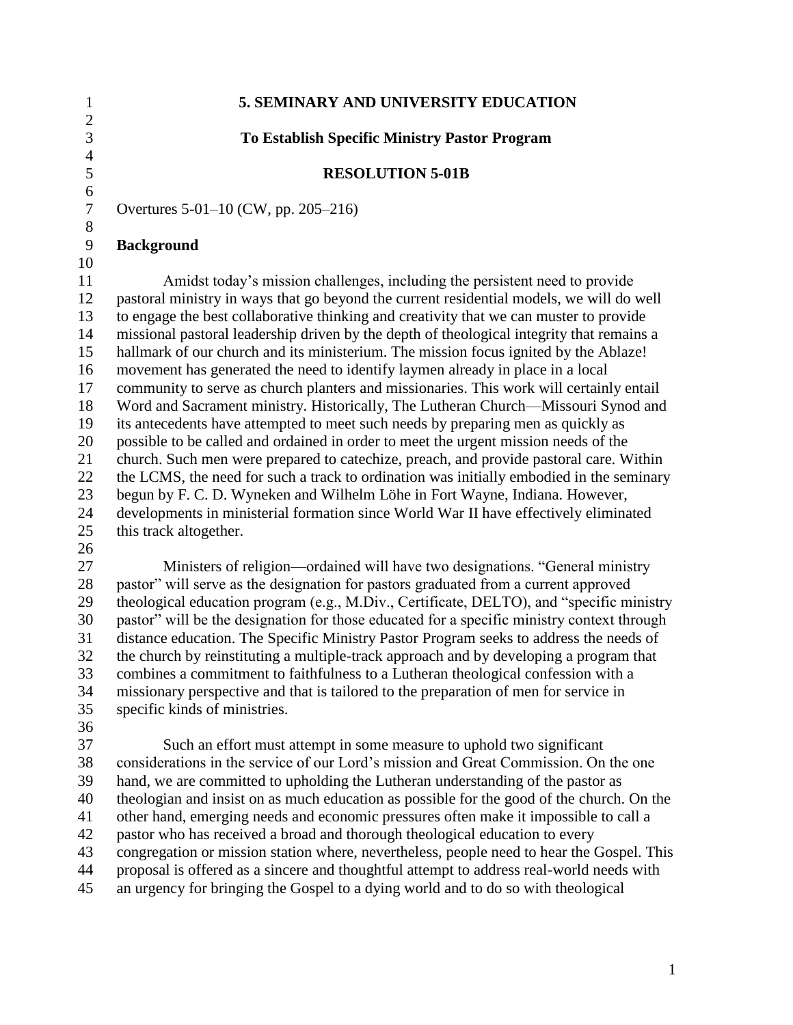| 5. SEMINARY AND UNIVERSITY EDUCATION                                                      |
|-------------------------------------------------------------------------------------------|
|                                                                                           |
| <b>To Establish Specific Ministry Pastor Program</b>                                      |
|                                                                                           |
| <b>RESOLUTION 5-01B</b>                                                                   |
|                                                                                           |
| Overtures 5-01-10 (CW, pp. 205-216)                                                       |
|                                                                                           |
| <b>Background</b>                                                                         |
|                                                                                           |
| Amidst today's mission challenges, including the persistent need to provide               |
| pastoral ministry in ways that go beyond the current residential models, we will do well  |
| to engage the best collaborative thinking and creativity that we can muster to provide    |
| missional pastoral leadership driven by the depth of theological integrity that remains a |
| hallmark of our church and its ministerium. The mission focus ignited by the Ablaze!      |
| movement has generated the need to identify laymen already in place in a local            |
| community to serve as church planters and missionaries. This work will certainly entail   |
| Word and Sacrament ministry. Historically, The Lutheran Church—Missouri Synod and         |
| its antecedents have attempted to meet such needs by preparing men as quickly as          |
| possible to be called and ordained in order to meet the urgent mission needs of the       |
| church. Such men were prepared to catechize, preach, and provide pastoral care. Within    |
| the LCMS, the need for such a track to ordination was initially embodied in the seminary  |
| begun by F. C. D. Wyneken and Wilhelm Löhe in Fort Wayne, Indiana. However,               |
| developments in ministerial formation since World War II have effectively eliminated      |
| this track altogether.                                                                    |
|                                                                                           |
|                                                                                           |

27 Ministers of religion—ordained will have two designations. "General ministry 28 pastor" will serve as the designation for pastors graduated from a current approved 29 theological education program (e.g., M.Div., Certificate, DELTO), and "specific ministry 30 pastor" will be the designation for those educated for a specific ministry context through distance education. The Specific Ministry Pastor Program seeks to address the needs of the church by reinstituting a multiple-track approach and by developing a program that combines a commitment to faithfulness to a Lutheran theological confession with a missionary perspective and that is tailored to the preparation of men for service in specific kinds of ministries.

 Such an effort must attempt in some measure to uphold two significant considerations in the service of our Lord's mission and Great Commission. On the one hand, we are committed to upholding the Lutheran understanding of the pastor as theologian and insist on as much education as possible for the good of the church. On the other hand, emerging needs and economic pressures often make it impossible to call a pastor who has received a broad and thorough theological education to every congregation or mission station where, nevertheless, people need to hear the Gospel. This proposal is offered as a sincere and thoughtful attempt to address real-world needs with an urgency for bringing the Gospel to a dying world and to do so with theological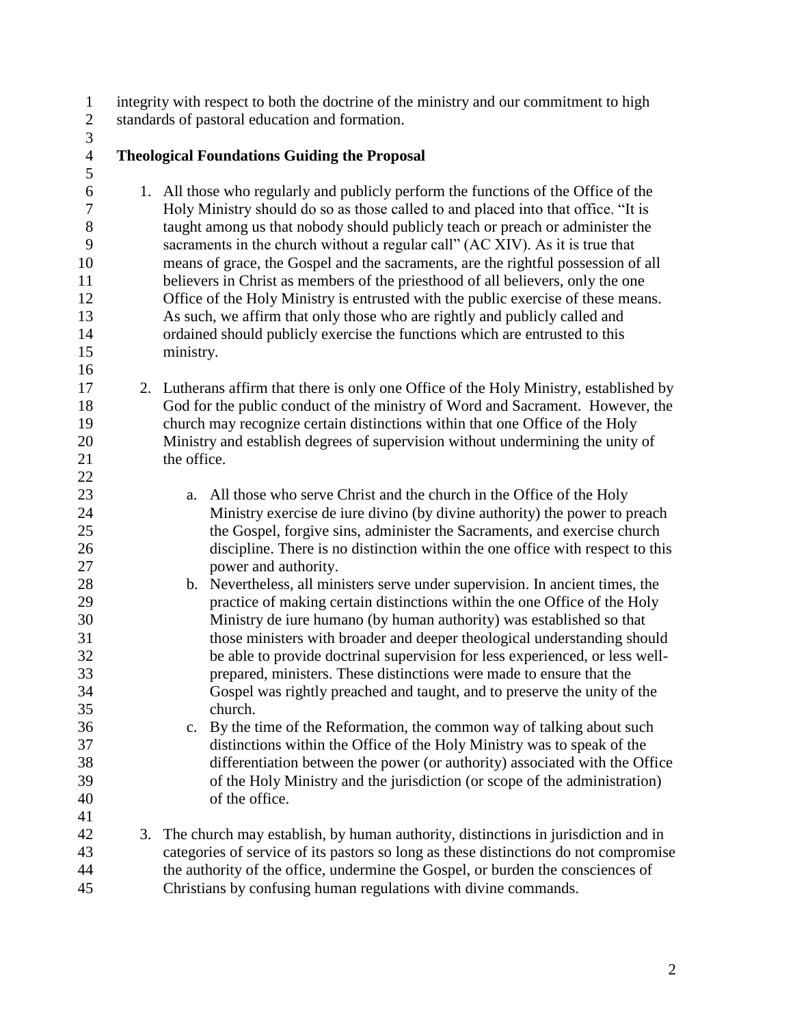integrity with respect to both the doctrine of the ministry and our commitment to high standards of pastoral education and formation.

## **Theological Foundations Guiding the Proposal**

- 1. All those who regularly and publicly perform the functions of the Office of the 7 Holy Ministry should do so as those called to and placed into that office. "It is taught among us that nobody should publicly teach or preach or administer the 9 sacraments in the church without a regular call" (AC XIV). As it is true that means of grace, the Gospel and the sacraments, are the rightful possession of all believers in Christ as members of the priesthood of all believers, only the one Office of the Holy Ministry is entrusted with the public exercise of these means. As such, we affirm that only those who are rightly and publicly called and ordained should publicly exercise the functions which are entrusted to this ministry.
- 2. Lutherans affirm that there is only one Office of the Holy Ministry, established by God for the public conduct of the ministry of Word and Sacrament. However, the church may recognize certain distinctions within that one Office of the Holy Ministry and establish degrees of supervision without undermining the unity of 21 the office.
- a. All those who serve Christ and the church in the Office of the Holy Ministry exercise de iure divino (by divine authority) the power to preach the Gospel, forgive sins, administer the Sacraments, and exercise church discipline. There is no distinction within the one office with respect to this power and authority.
- b. Nevertheless, all ministers serve under supervision. In ancient times, the practice of making certain distinctions within the one Office of the Holy Ministry de iure humano (by human authority) was established so that those ministers with broader and deeper theological understanding should be able to provide doctrinal supervision for less experienced, or less well- prepared, ministers. These distinctions were made to ensure that the Gospel was rightly preached and taught, and to preserve the unity of the church.
- c. By the time of the Reformation, the common way of talking about such distinctions within the Office of the Holy Ministry was to speak of the differentiation between the power (or authority) associated with the Office of the Holy Ministry and the jurisdiction (or scope of the administration) of the office.
- 3. The church may establish, by human authority, distinctions in jurisdiction and in categories of service of its pastors so long as these distinctions do not compromise the authority of the office, undermine the Gospel, or burden the consciences of Christians by confusing human regulations with divine commands.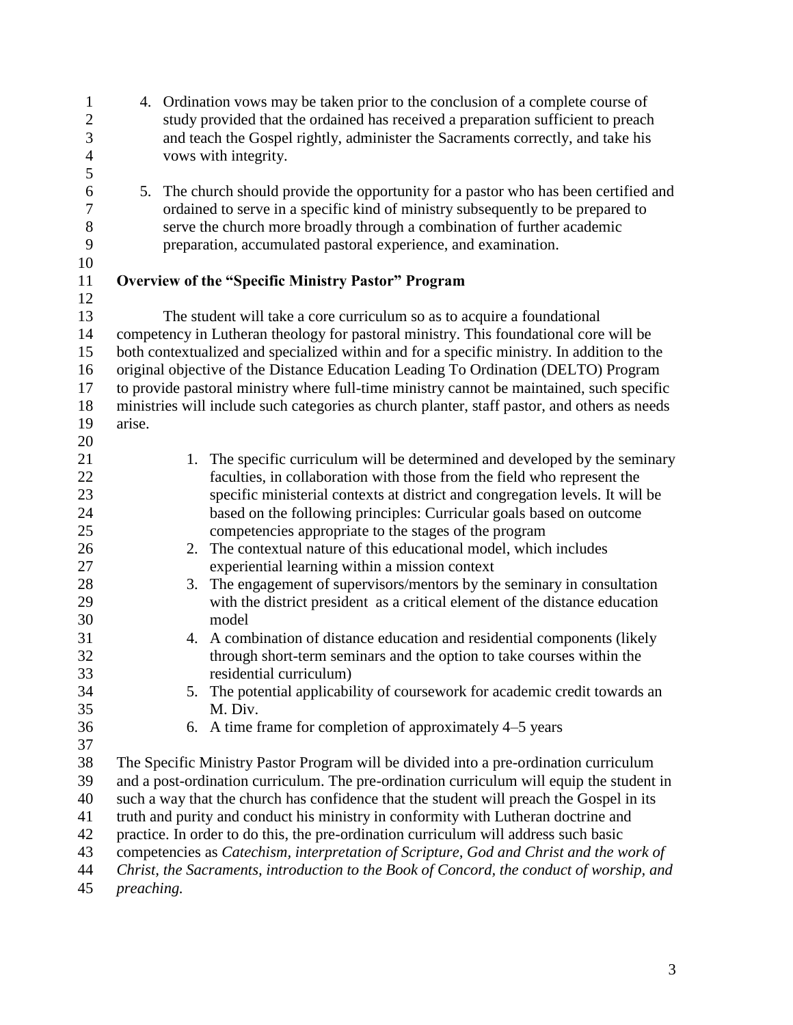| $\mathbf{1}$<br>$\overline{c}$<br>3 |        | 4. Ordination vows may be taken prior to the conclusion of a complete course of<br>study provided that the ordained has received a preparation sufficient to preach<br>and teach the Gospel rightly, administer the Sacraments correctly, and take his |
|-------------------------------------|--------|--------------------------------------------------------------------------------------------------------------------------------------------------------------------------------------------------------------------------------------------------------|
| $\overline{4}$                      |        | vows with integrity.                                                                                                                                                                                                                                   |
| 5                                   |        |                                                                                                                                                                                                                                                        |
| 6                                   | 5.     | The church should provide the opportunity for a pastor who has been certified and                                                                                                                                                                      |
| 7                                   |        | ordained to serve in a specific kind of ministry subsequently to be prepared to                                                                                                                                                                        |
| 8                                   |        | serve the church more broadly through a combination of further academic                                                                                                                                                                                |
| 9<br>10                             |        | preparation, accumulated pastoral experience, and examination.                                                                                                                                                                                         |
| 11                                  |        | <b>Overview of the "Specific Ministry Pastor" Program</b>                                                                                                                                                                                              |
| 12                                  |        |                                                                                                                                                                                                                                                        |
| 13                                  |        | The student will take a core curriculum so as to acquire a foundational                                                                                                                                                                                |
| 14                                  |        | competency in Lutheran theology for pastoral ministry. This foundational core will be                                                                                                                                                                  |
| 15                                  |        | both contextualized and specialized within and for a specific ministry. In addition to the                                                                                                                                                             |
| 16                                  |        | original objective of the Distance Education Leading To Ordination (DELTO) Program                                                                                                                                                                     |
| 17                                  |        | to provide pastoral ministry where full-time ministry cannot be maintained, such specific                                                                                                                                                              |
| 18                                  |        | ministries will include such categories as church planter, staff pastor, and others as needs                                                                                                                                                           |
| 19                                  | arise. |                                                                                                                                                                                                                                                        |
| 20                                  |        |                                                                                                                                                                                                                                                        |
| 21                                  |        | The specific curriculum will be determined and developed by the seminary<br>1.                                                                                                                                                                         |
| 22                                  |        | faculties, in collaboration with those from the field who represent the                                                                                                                                                                                |
| 23                                  |        | specific ministerial contexts at district and congregation levels. It will be                                                                                                                                                                          |
| 24                                  |        | based on the following principles: Curricular goals based on outcome                                                                                                                                                                                   |
| 25                                  |        | competencies appropriate to the stages of the program                                                                                                                                                                                                  |
| 26                                  |        | 2. The contextual nature of this educational model, which includes                                                                                                                                                                                     |
| 27                                  |        | experiential learning within a mission context                                                                                                                                                                                                         |
| 28                                  |        | The engagement of supervisors/mentors by the seminary in consultation<br>3.                                                                                                                                                                            |
| 29                                  |        | with the district president as a critical element of the distance education                                                                                                                                                                            |
| 30                                  |        | model                                                                                                                                                                                                                                                  |
| 31                                  |        | A combination of distance education and residential components (likely<br>4.                                                                                                                                                                           |
| 32                                  |        | through short-term seminars and the option to take courses within the                                                                                                                                                                                  |
| 33<br>34                            |        | residential curriculum)<br>The potential applicability of coursework for academic credit towards an<br>5.                                                                                                                                              |
| 35                                  |        | M. Div.                                                                                                                                                                                                                                                |
| 36                                  |        | A time frame for completion of approximately 4–5 years<br>6.                                                                                                                                                                                           |
| 37                                  |        |                                                                                                                                                                                                                                                        |
| 38                                  |        | The Specific Ministry Pastor Program will be divided into a pre-ordination curriculum                                                                                                                                                                  |
| 39                                  |        | and a post-ordination curriculum. The pre-ordination curriculum will equip the student in                                                                                                                                                              |
| 40                                  |        | such a way that the church has confidence that the student will preach the Gospel in its                                                                                                                                                               |
| 41                                  |        | truth and purity and conduct his ministry in conformity with Lutheran doctrine and                                                                                                                                                                     |
| 42                                  |        | practice. In order to do this, the pre-ordination curriculum will address such basic                                                                                                                                                                   |
| 43                                  |        | competencies as Catechism, interpretation of Scripture, God and Christ and the work of                                                                                                                                                                 |
| 44                                  |        | Christ, the Sacraments, introduction to the Book of Concord, the conduct of worship, and                                                                                                                                                               |
| $\overline{A}$                      |        |                                                                                                                                                                                                                                                        |

*preaching.*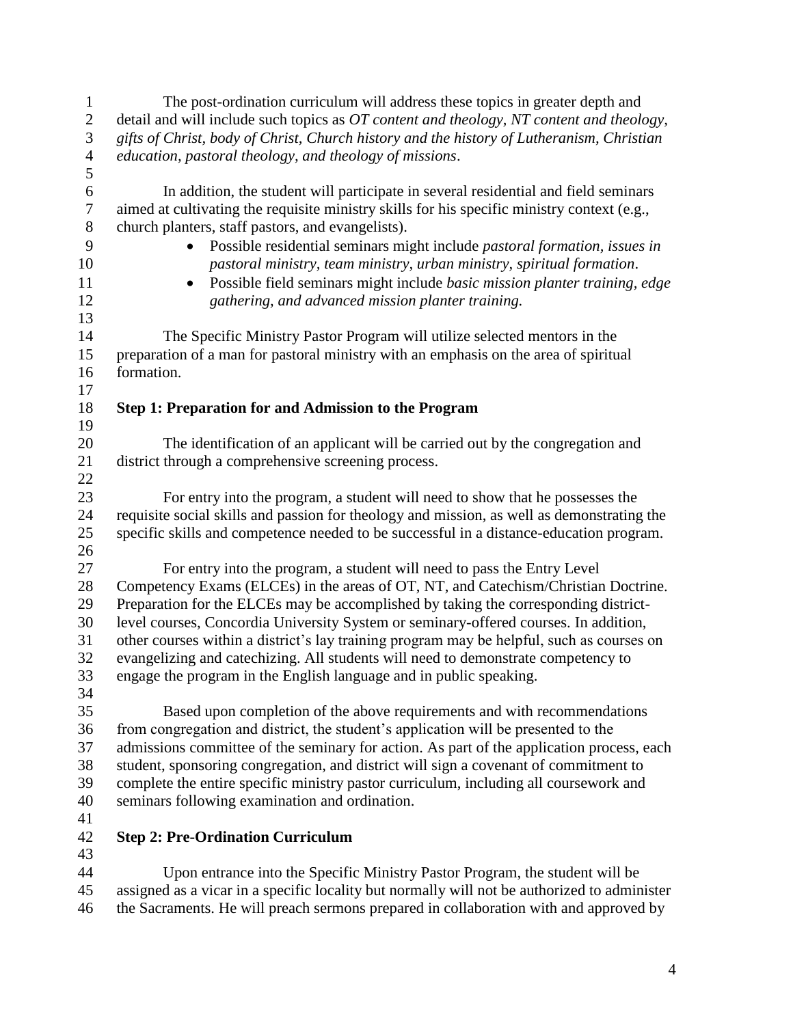| $\mathbf{1}$     | The post-ordination curriculum will address these topics in greater depth and                |
|------------------|----------------------------------------------------------------------------------------------|
| $\sqrt{2}$       | detail and will include such topics as OT content and theology, NT content and theology,     |
| 3                | gifts of Christ, body of Christ, Church history and the history of Lutheranism, Christian    |
| $\overline{4}$   | education, pastoral theology, and theology of missions.                                      |
| $\mathfrak{S}$   |                                                                                              |
| $\sqrt{6}$       | In addition, the student will participate in several residential and field seminars          |
| $\boldsymbol{7}$ | aimed at cultivating the requisite ministry skills for his specific ministry context (e.g.,  |
| $8\,$            | church planters, staff pastors, and evangelists).                                            |
| 9                | Possible residential seminars might include pastoral formation, issues in<br>$\bullet$       |
| 10               | pastoral ministry, team ministry, urban ministry, spiritual formation.                       |
| 11               | Possible field seminars might include basic mission planter training, edge                   |
| 12               | $\bullet$                                                                                    |
| 13               | gathering, and advanced mission planter training.                                            |
| 14               |                                                                                              |
|                  | The Specific Ministry Pastor Program will utilize selected mentors in the                    |
| 15               | preparation of a man for pastoral ministry with an emphasis on the area of spiritual         |
| 16               | formation.                                                                                   |
| 17               |                                                                                              |
| 18               | <b>Step 1: Preparation for and Admission to the Program</b>                                  |
| 19               |                                                                                              |
| 20               | The identification of an applicant will be carried out by the congregation and               |
| 21               | district through a comprehensive screening process.                                          |
| 22               |                                                                                              |
| 23               | For entry into the program, a student will need to show that he possesses the                |
| 24               | requisite social skills and passion for theology and mission, as well as demonstrating the   |
| 25               | specific skills and competence needed to be successful in a distance-education program.      |
| 26               |                                                                                              |
| 27               | For entry into the program, a student will need to pass the Entry Level                      |
| 28               | Competency Exams (ELCEs) in the areas of OT, NT, and Catechism/Christian Doctrine.           |
| 29               | Preparation for the ELCEs may be accomplished by taking the corresponding district-          |
| 30               | level courses, Concordia University System or seminary-offered courses. In addition,         |
| 31               | other courses within a district's lay training program may be helpful, such as courses on    |
| 32               | evangelizing and catechizing. All students will need to demonstrate competency to            |
| 33               | engage the program in the English language and in public speaking.                           |
| 34               |                                                                                              |
| 35               | Based upon completion of the above requirements and with recommendations                     |
| 36               | from congregation and district, the student's application will be presented to the           |
| 37               | admissions committee of the seminary for action. As part of the application process, each    |
| 38               | student, sponsoring congregation, and district will sign a covenant of commitment to         |
| 39               | complete the entire specific ministry pastor curriculum, including all coursework and        |
| 40               | seminars following examination and ordination.                                               |
| 41               |                                                                                              |
| 42               | <b>Step 2: Pre-Ordination Curriculum</b>                                                     |
| 43               |                                                                                              |
| 44               | Upon entrance into the Specific Ministry Pastor Program, the student will be                 |
| 45               |                                                                                              |
|                  | assigned as a vicar in a specific locality but normally will not be authorized to administer |

the Sacraments. He will preach sermons prepared in collaboration with and approved by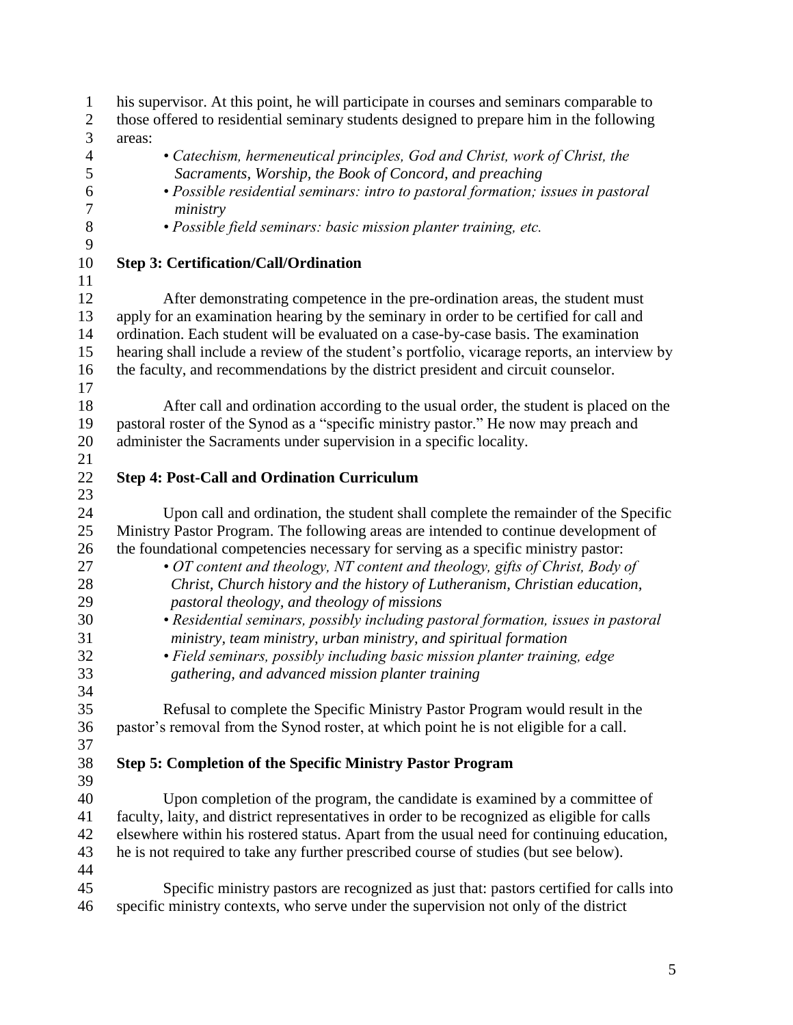| $\mathbf{1}$     | his supervisor. At this point, he will participate in courses and seminars comparable to     |
|------------------|----------------------------------------------------------------------------------------------|
| $\overline{2}$   | those offered to residential seminary students designed to prepare him in the following      |
| 3                | areas:                                                                                       |
| $\overline{4}$   | • Catechism, hermeneutical principles, God and Christ, work of Christ, the                   |
| 5                | Sacraments, Worship, the Book of Concord, and preaching                                      |
| 6                | • Possible residential seminars: intro to pastoral formation; issues in pastoral             |
| $\boldsymbol{7}$ | ministry                                                                                     |
| $8\,$            | · Possible field seminars: basic mission planter training, etc.                              |
| 9                |                                                                                              |
| 10               | <b>Step 3: Certification/Call/Ordination</b>                                                 |
| 11               |                                                                                              |
| 12               | After demonstrating competence in the pre-ordination areas, the student must                 |
| 13               | apply for an examination hearing by the seminary in order to be certified for call and       |
| 14               | ordination. Each student will be evaluated on a case-by-case basis. The examination          |
| 15               | hearing shall include a review of the student's portfolio, vicarage reports, an interview by |
| 16               | the faculty, and recommendations by the district president and circuit counselor.            |
| 17               |                                                                                              |
| 18               | After call and ordination according to the usual order, the student is placed on the         |
| 19               | pastoral roster of the Synod as a "specific ministry pastor." He now may preach and          |
| 20               | administer the Sacraments under supervision in a specific locality.                          |
| 21               |                                                                                              |
| 22               | <b>Step 4: Post-Call and Ordination Curriculum</b>                                           |
| 23               |                                                                                              |
| 24               | Upon call and ordination, the student shall complete the remainder of the Specific           |
| 25               | Ministry Pastor Program. The following areas are intended to continue development of         |
| 26               |                                                                                              |
| 27               | the foundational competencies necessary for serving as a specific ministry pastor:           |
|                  | • OT content and theology, NT content and theology, gifts of Christ, Body of                 |
| 28<br>29         | Christ, Church history and the history of Lutheranism, Christian education,                  |
| 30               | pastoral theology, and theology of missions                                                  |
|                  | • Residential seminars, possibly including pastoral formation, issues in pastoral            |
| 31               | ministry, team ministry, urban ministry, and spiritual formation                             |
| 32               | • Field seminars, possibly including basic mission planter training, edge                    |
| 33               | gathering, and advanced mission planter training                                             |
| 34               |                                                                                              |
| 35               | Refusal to complete the Specific Ministry Pastor Program would result in the                 |
| 36               | pastor's removal from the Synod roster, at which point he is not eligible for a call.        |
| 37               |                                                                                              |
| 38               | <b>Step 5: Completion of the Specific Ministry Pastor Program</b>                            |
| 39               |                                                                                              |
| 40               | Upon completion of the program, the candidate is examined by a committee of                  |
| 41               | faculty, laity, and district representatives in order to be recognized as eligible for calls |
| 42               | elsewhere within his rostered status. Apart from the usual need for continuing education,    |
| 43               | he is not required to take any further prescribed course of studies (but see below).         |
| 44               |                                                                                              |
| 45               | Specific ministry pastors are recognized as just that: pastors certified for calls into      |
| 46               | specific ministry contexts, who serve under the supervision not only of the district         |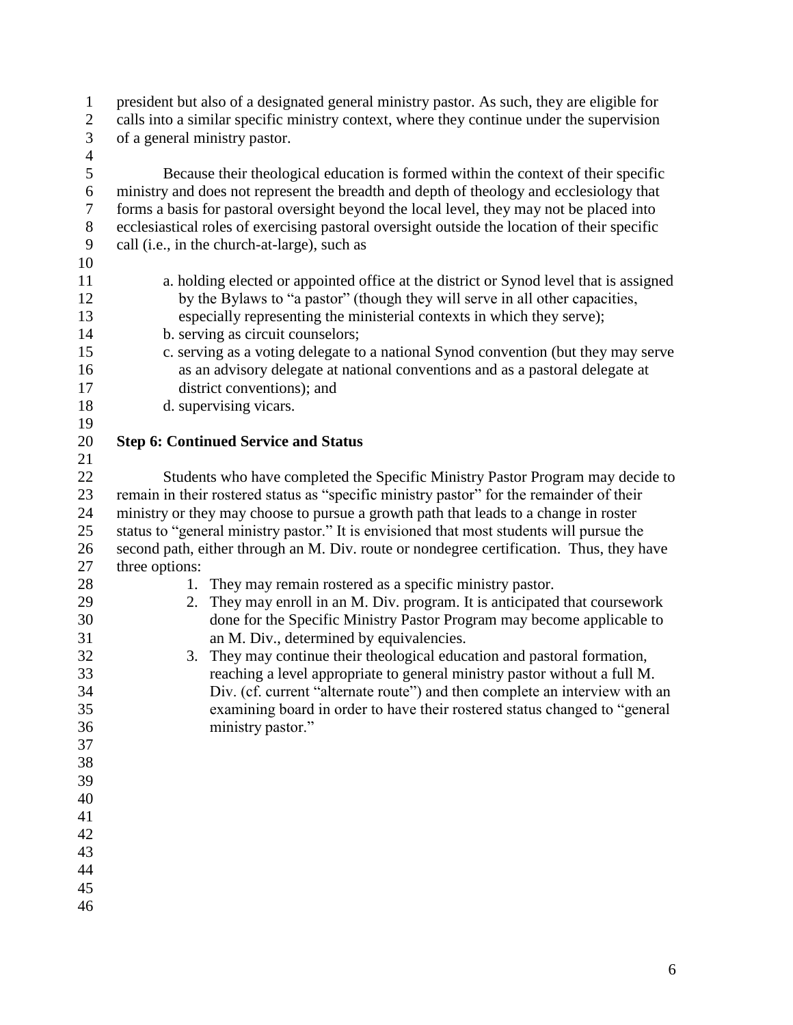| $\mathbf{1}$   | president but also of a designated general ministry pastor. As such, they are eligible for   |
|----------------|----------------------------------------------------------------------------------------------|
| $\mathbf{2}$   | calls into a similar specific ministry context, where they continue under the supervision    |
| 3              | of a general ministry pastor.                                                                |
| $\overline{4}$ |                                                                                              |
| 5              | Because their theological education is formed within the context of their specific           |
| 6              | ministry and does not represent the breadth and depth of theology and ecclesiology that      |
| 7              | forms a basis for pastoral oversight beyond the local level, they may not be placed into     |
| $8\,$          | ecclesiastical roles of exercising pastoral oversight outside the location of their specific |
| $\mathbf{9}$   | call (i.e., in the church-at-large), such as                                                 |
| 10             |                                                                                              |
| 11             | a. holding elected or appointed office at the district or Synod level that is assigned       |
| 12             | by the Bylaws to "a pastor" (though they will serve in all other capacities,                 |
| 13             | especially representing the ministerial contexts in which they serve);                       |
| 14             | b. serving as circuit counselors;                                                            |
| 15             | c. serving as a voting delegate to a national Synod convention (but they may serve           |
| 16             | as an advisory delegate at national conventions and as a pastoral delegate at                |
| 17             | district conventions); and                                                                   |
| 18             | d. supervising vicars.                                                                       |
| 19             |                                                                                              |
| 20             | <b>Step 6: Continued Service and Status</b>                                                  |
| 21             |                                                                                              |
| 22             | Students who have completed the Specific Ministry Pastor Program may decide to               |
| 23             | remain in their rostered status as "specific ministry pastor" for the remainder of their     |
| 24             | ministry or they may choose to pursue a growth path that leads to a change in roster         |
| 25             | status to "general ministry pastor." It is envisioned that most students will pursue the     |
| 26             | second path, either through an M. Div. route or nondegree certification. Thus, they have     |
| 27             | three options:                                                                               |
| 28             | 1. They may remain rostered as a specific ministry pastor.                                   |
| 29             | They may enroll in an M. Div. program. It is anticipated that coursework<br>2.               |
| 30             | done for the Specific Ministry Pastor Program may become applicable to                       |
| 31             | an M. Div., determined by equivalencies.                                                     |
| 32             | 3. They may continue their theological education and pastoral formation,                     |
| 33             | reaching a level appropriate to general ministry pastor without a full M.                    |
| 34             | Div. (cf. current "alternate route") and then complete an interview with an                  |
| 35             | examining board in order to have their rostered status changed to "general                   |
| 36             | ministry pastor."                                                                            |
| 37             |                                                                                              |
| 38             |                                                                                              |
| 39             |                                                                                              |
| 40             |                                                                                              |
| 41             |                                                                                              |
| 42             |                                                                                              |
| 43             |                                                                                              |
| 44             |                                                                                              |
| 45             |                                                                                              |
| 46             |                                                                                              |
|                |                                                                                              |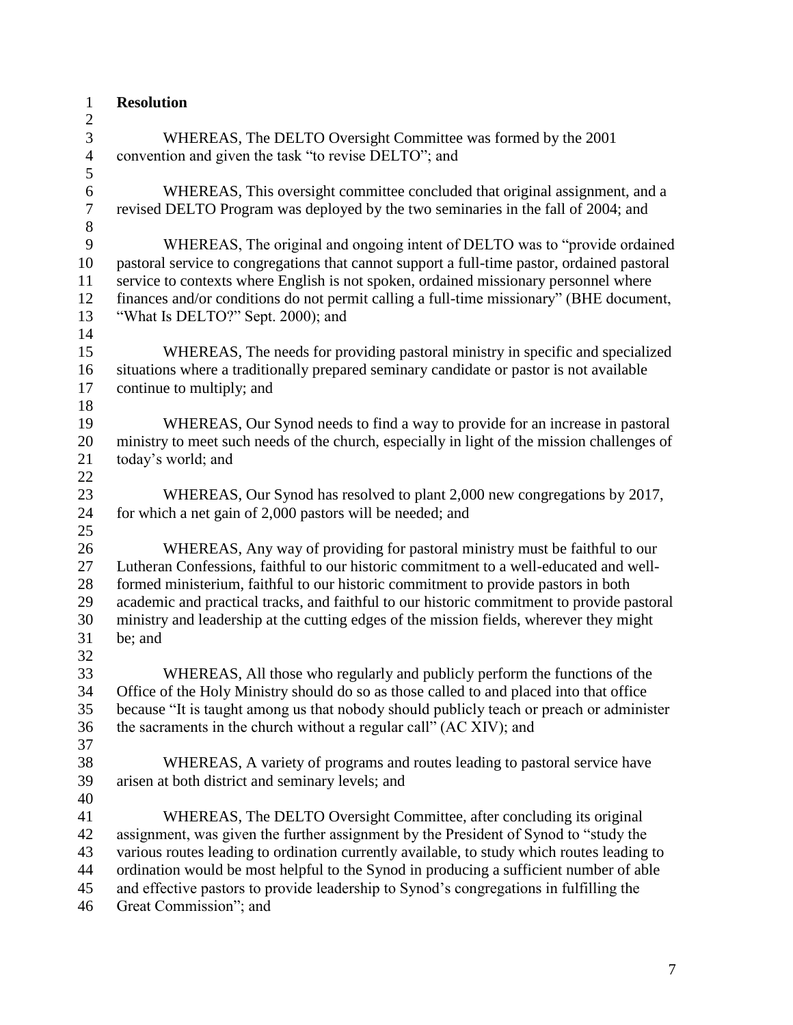| $\mathbf{1}$   | <b>Resolution</b>                                                                                                                                                                     |
|----------------|---------------------------------------------------------------------------------------------------------------------------------------------------------------------------------------|
| $\overline{c}$ |                                                                                                                                                                                       |
| 3              | WHEREAS, The DELTO Oversight Committee was formed by the 2001                                                                                                                         |
| $\overline{4}$ | convention and given the task "to revise DELTO"; and                                                                                                                                  |
| 5              |                                                                                                                                                                                       |
| $\sqrt{6}$     | WHEREAS, This oversight committee concluded that original assignment, and a                                                                                                           |
| $\tau$         | revised DELTO Program was deployed by the two seminaries in the fall of 2004; and                                                                                                     |
| $8\,$          |                                                                                                                                                                                       |
| 9              | WHEREAS, The original and ongoing intent of DELTO was to "provide ordained"                                                                                                           |
| 10             | pastoral service to congregations that cannot support a full-time pastor, ordained pastoral                                                                                           |
| 11             | service to contexts where English is not spoken, ordained missionary personnel where                                                                                                  |
| 12             | finances and/or conditions do not permit calling a full-time missionary" (BHE document,                                                                                               |
| 13             | "What Is DELTO?" Sept. 2000); and                                                                                                                                                     |
| 14             |                                                                                                                                                                                       |
| 15             | WHEREAS, The needs for providing pastoral ministry in specific and specialized                                                                                                        |
| 16             | situations where a traditionally prepared seminary candidate or pastor is not available                                                                                               |
| 17             | continue to multiply; and                                                                                                                                                             |
| 18             |                                                                                                                                                                                       |
| 19             | WHEREAS, Our Synod needs to find a way to provide for an increase in pastoral                                                                                                         |
| 20             | ministry to meet such needs of the church, especially in light of the mission challenges of                                                                                           |
| 21             | today's world; and                                                                                                                                                                    |
| 22             |                                                                                                                                                                                       |
| 23             | WHEREAS, Our Synod has resolved to plant 2,000 new congregations by 2017,                                                                                                             |
| 24             | for which a net gain of 2,000 pastors will be needed; and                                                                                                                             |
| 25             |                                                                                                                                                                                       |
| 26             | WHEREAS, Any way of providing for pastoral ministry must be faithful to our                                                                                                           |
| 27             | Lutheran Confessions, faithful to our historic commitment to a well-educated and well-                                                                                                |
| 28             | formed ministerium, faithful to our historic commitment to provide pastors in both                                                                                                    |
| 29<br>30       | academic and practical tracks, and faithful to our historic commitment to provide pastoral<br>ministry and leadership at the cutting edges of the mission fields, wherever they might |
| 31             | be; and                                                                                                                                                                               |
| 32             |                                                                                                                                                                                       |
| 33             | WHEREAS, All those who regularly and publicly perform the functions of the                                                                                                            |
| 34             | Office of the Holy Ministry should do so as those called to and placed into that office                                                                                               |
| 35             | because "It is taught among us that nobody should publicly teach or preach or administer                                                                                              |
| 36             | the sacraments in the church without a regular call" (AC XIV); and                                                                                                                    |
| 37             |                                                                                                                                                                                       |
| 38             | WHEREAS, A variety of programs and routes leading to pastoral service have                                                                                                            |
| 39             | arisen at both district and seminary levels; and                                                                                                                                      |
| 40             |                                                                                                                                                                                       |
| 41             | WHEREAS, The DELTO Oversight Committee, after concluding its original                                                                                                                 |
| 42             | assignment, was given the further assignment by the President of Synod to "study the                                                                                                  |
| 43             | various routes leading to ordination currently available, to study which routes leading to                                                                                            |
| 44             | ordination would be most helpful to the Synod in producing a sufficient number of able                                                                                                |
| 45             | and effective pastors to provide leadership to Synod's congregations in fulfilling the                                                                                                |
| 46             | Great Commission"; and                                                                                                                                                                |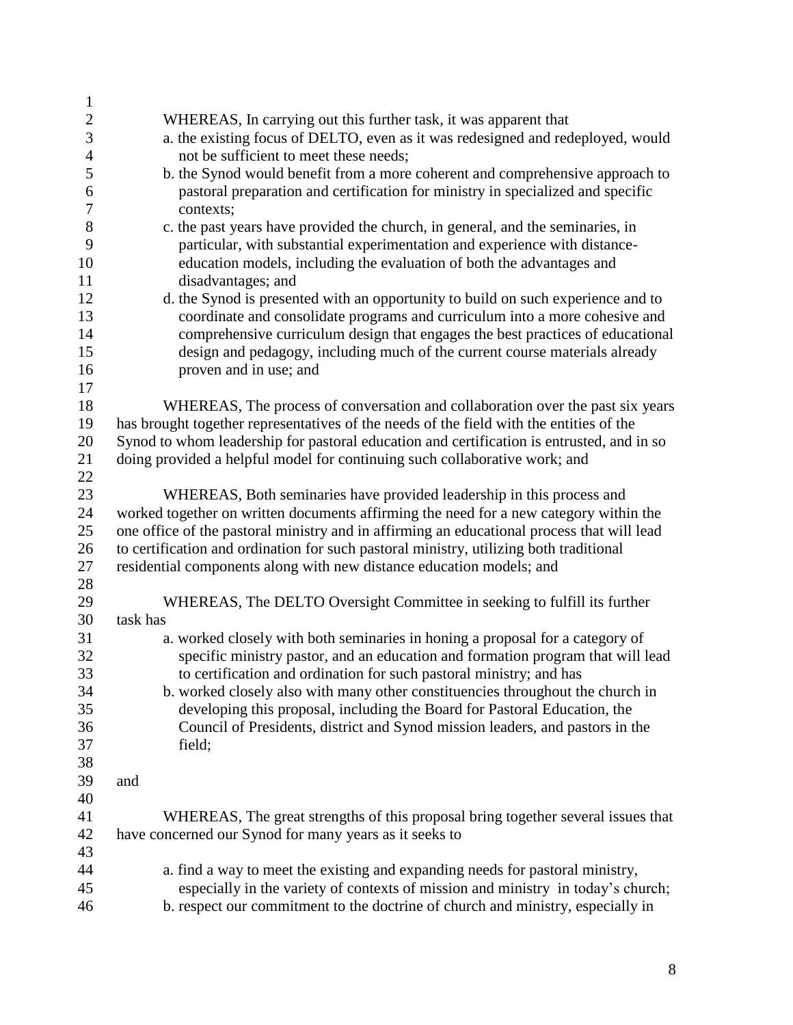| $\mathbf{1}$     |                                                                                            |
|------------------|--------------------------------------------------------------------------------------------|
| $\sqrt{2}$       | WHEREAS, In carrying out this further task, it was apparent that                           |
| 3                | a. the existing focus of DELTO, even as it was redesigned and redeployed, would            |
| $\overline{4}$   | not be sufficient to meet these needs;                                                     |
| 5                | b. the Synod would benefit from a more coherent and comprehensive approach to              |
| 6                | pastoral preparation and certification for ministry in specialized and specific            |
| $\boldsymbol{7}$ | contexts;                                                                                  |
| $8\,$            | c. the past years have provided the church, in general, and the seminaries, in             |
| 9                | particular, with substantial experimentation and experience with distance-                 |
| 10               | education models, including the evaluation of both the advantages and                      |
| 11               | disadvantages; and                                                                         |
| 12               | d. the Synod is presented with an opportunity to build on such experience and to           |
| 13               | coordinate and consolidate programs and curriculum into a more cohesive and                |
| 14               | comprehensive curriculum design that engages the best practices of educational             |
| 15               | design and pedagogy, including much of the current course materials already                |
| 16               | proven and in use; and                                                                     |
| 17               |                                                                                            |
| 18               | WHEREAS, The process of conversation and collaboration over the past six years             |
| 19               | has brought together representatives of the needs of the field with the entities of the    |
| 20               | Synod to whom leadership for pastoral education and certification is entrusted, and in so  |
| 21               | doing provided a helpful model for continuing such collaborative work; and                 |
| 22               |                                                                                            |
| 23               | WHEREAS, Both seminaries have provided leadership in this process and                      |
| 24               | worked together on written documents affirming the need for a new category within the      |
| 25               | one office of the pastoral ministry and in affirming an educational process that will lead |
| 26               | to certification and ordination for such pastoral ministry, utilizing both traditional     |
| 27               | residential components along with new distance education models; and                       |
| 28               |                                                                                            |
| 29               | WHEREAS, The DELTO Oversight Committee in seeking to fulfill its further                   |
| 30               | task has                                                                                   |
| 31               | a. worked closely with both seminaries in honing a proposal for a category of              |
| 32               | specific ministry pastor, and an education and formation program that will lead            |
| 33               | to certification and ordination for such pastoral ministry; and has                        |
| 34               | b. worked closely also with many other constituencies throughout the church in             |
| 35               | developing this proposal, including the Board for Pastoral Education, the                  |
| 36               | Council of Presidents, district and Synod mission leaders, and pastors in the              |
| 37               | field;                                                                                     |
| 38               |                                                                                            |
| 39               | and                                                                                        |
| 40               |                                                                                            |
| 41               | WHEREAS, The great strengths of this proposal bring together several issues that           |
| 42               | have concerned our Synod for many years as it seeks to                                     |
| 43               |                                                                                            |
| 44               | a. find a way to meet the existing and expanding needs for pastoral ministry,              |
| 45               | especially in the variety of contexts of mission and ministry in today's church;           |
|                  |                                                                                            |
| 46               | b. respect our commitment to the doctrine of church and ministry, especially in            |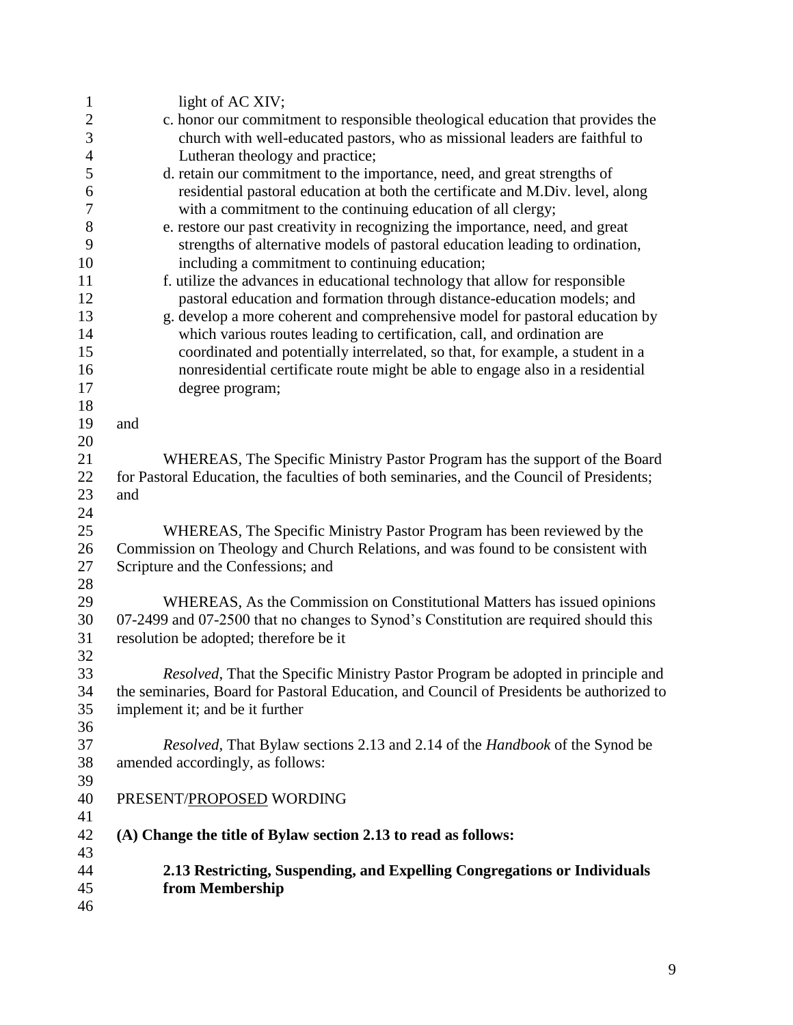| $\mathbf{1}$   | light of AC XIV;                                                                           |
|----------------|--------------------------------------------------------------------------------------------|
|                | c. honor our commitment to responsible theological education that provides the             |
| $\frac{2}{3}$  | church with well-educated pastors, who as missional leaders are faithful to                |
| $\overline{4}$ | Lutheran theology and practice;                                                            |
| 5              | d. retain our commitment to the importance, need, and great strengths of                   |
| 6              | residential pastoral education at both the certificate and M.Div. level, along             |
| $\tau$         | with a commitment to the continuing education of all clergy;                               |
| 8              | e. restore our past creativity in recognizing the importance, need, and great              |
| 9              | strengths of alternative models of pastoral education leading to ordination,               |
| 10             | including a commitment to continuing education;                                            |
| 11             | f. utilize the advances in educational technology that allow for responsible               |
| 12             | pastoral education and formation through distance-education models; and                    |
| 13             | g. develop a more coherent and comprehensive model for pastoral education by               |
| 14             | which various routes leading to certification, call, and ordination are                    |
| 15             | coordinated and potentially interrelated, so that, for example, a student in a             |
| 16             | nonresidential certificate route might be able to engage also in a residential             |
| 17             | degree program;                                                                            |
| 18             |                                                                                            |
| 19             | and                                                                                        |
| 20             |                                                                                            |
| 21             | WHEREAS, The Specific Ministry Pastor Program has the support of the Board                 |
| 22             | for Pastoral Education, the faculties of both seminaries, and the Council of Presidents;   |
| 23             | and                                                                                        |
| 24             |                                                                                            |
| 25             | WHEREAS, The Specific Ministry Pastor Program has been reviewed by the                     |
| 26             | Commission on Theology and Church Relations, and was found to be consistent with           |
| 27             | Scripture and the Confessions; and                                                         |
| 28             |                                                                                            |
| 29             | WHEREAS, As the Commission on Constitutional Matters has issued opinions                   |
| 30             | 07-2499 and 07-2500 that no changes to Synod's Constitution are required should this       |
| 31             | resolution be adopted; therefore be it                                                     |
| 32             |                                                                                            |
| 33             | Resolved, That the Specific Ministry Pastor Program be adopted in principle and            |
| 34             | the seminaries, Board for Pastoral Education, and Council of Presidents be authorized to   |
| 35             | implement it; and be it further                                                            |
| 36             |                                                                                            |
| 37             | <i>Resolved</i> , That Bylaw sections 2.13 and 2.14 of the <i>Handbook</i> of the Synod be |
| 38             | amended accordingly, as follows:                                                           |
| 39             |                                                                                            |
| 40             | PRESENT/PROPOSED WORDING                                                                   |
| 41             |                                                                                            |
| 42             | (A) Change the title of Bylaw section 2.13 to read as follows:                             |
| 43             |                                                                                            |
| 44             | 2.13 Restricting, Suspending, and Expelling Congregations or Individuals                   |
| 45             | from Membership                                                                            |
| 46             |                                                                                            |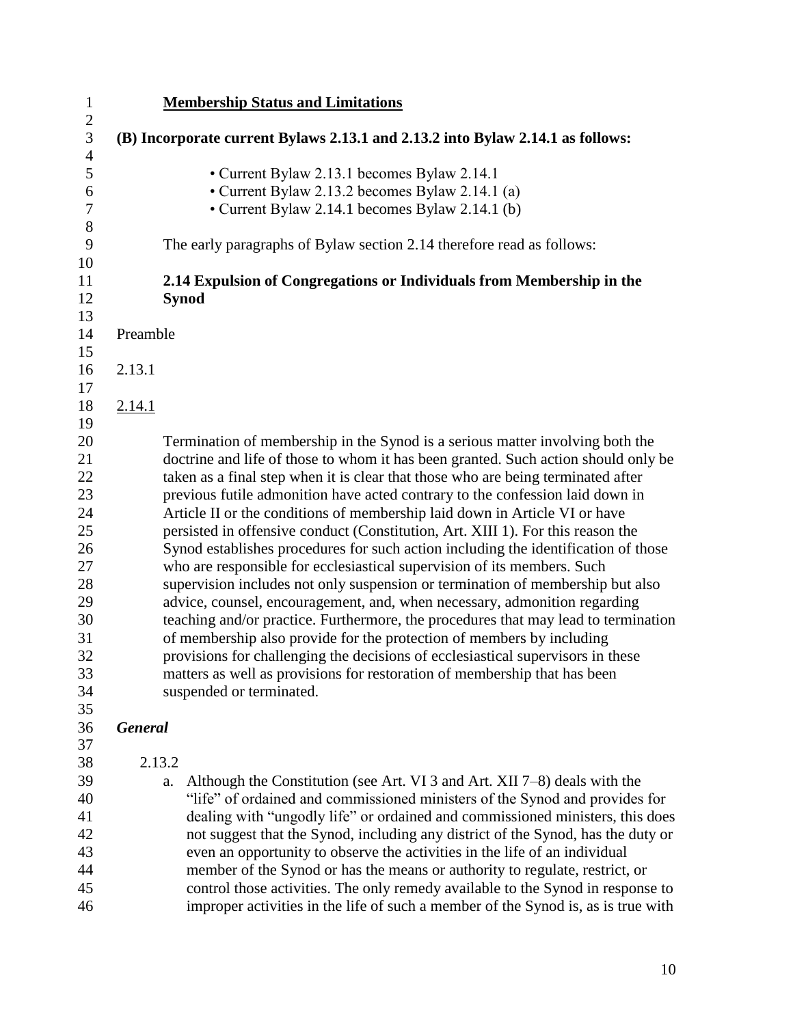| $\mathbf{1}$                     |                | <b>Membership Status and Limitations</b>                                                                                                          |
|----------------------------------|----------------|---------------------------------------------------------------------------------------------------------------------------------------------------|
| $\overline{c}$                   |                |                                                                                                                                                   |
| $\mathfrak{Z}$<br>$\overline{4}$ |                | (B) Incorporate current Bylaws 2.13.1 and 2.13.2 into Bylaw 2.14.1 as follows:                                                                    |
| 5<br>6<br>$\tau$                 |                | • Current Bylaw 2.13.1 becomes Bylaw 2.14.1<br>• Current Bylaw 2.13.2 becomes Bylaw 2.14.1 (a)<br>• Current Bylaw 2.14.1 becomes Bylaw 2.14.1 (b) |
| $8\,$<br>9                       |                | The early paragraphs of Bylaw section 2.14 therefore read as follows:                                                                             |
| 10<br>11<br>12                   |                | 2.14 Expulsion of Congregations or Individuals from Membership in the<br><b>Synod</b>                                                             |
| 13<br>14                         | Preamble       |                                                                                                                                                   |
| 15                               |                |                                                                                                                                                   |
| 16                               | 2.13.1         |                                                                                                                                                   |
| 17                               |                |                                                                                                                                                   |
| 18                               | 2.14.1         |                                                                                                                                                   |
| 19                               |                |                                                                                                                                                   |
| 20                               |                | Termination of membership in the Synod is a serious matter involving both the                                                                     |
| 21                               |                | doctrine and life of those to whom it has been granted. Such action should only be                                                                |
| 22                               |                | taken as a final step when it is clear that those who are being terminated after                                                                  |
| 23                               |                | previous futile admonition have acted contrary to the confession laid down in                                                                     |
| 24                               |                | Article II or the conditions of membership laid down in Article VI or have                                                                        |
| 25                               |                | persisted in offensive conduct (Constitution, Art. XIII 1). For this reason the                                                                   |
| 26                               |                | Synod establishes procedures for such action including the identification of those                                                                |
| 27                               |                | who are responsible for ecclesiastical supervision of its members. Such                                                                           |
| 28                               |                | supervision includes not only suspension or termination of membership but also                                                                    |
| 29                               |                | advice, counsel, encouragement, and, when necessary, admonition regarding                                                                         |
| 30                               |                | teaching and/or practice. Furthermore, the procedures that may lead to termination                                                                |
| 31                               |                | of membership also provide for the protection of members by including                                                                             |
| 32                               |                | provisions for challenging the decisions of ecclesiastical supervisors in these                                                                   |
| 33                               |                | matters as well as provisions for restoration of membership that has been                                                                         |
| 34                               |                | suspended or terminated.                                                                                                                          |
| 35                               |                |                                                                                                                                                   |
| 36<br>37                         | <b>General</b> |                                                                                                                                                   |
| 38                               |                | 2.13.2                                                                                                                                            |
| 39                               |                | Although the Constitution (see Art. VI 3 and Art. XII 7–8) deals with the<br>a.                                                                   |
| 40                               |                | "life" of ordained and commissioned ministers of the Synod and provides for                                                                       |
| 41                               |                | dealing with "ungodly life" or ordained and commissioned ministers, this does                                                                     |
| 42                               |                | not suggest that the Synod, including any district of the Synod, has the duty or                                                                  |
| 43                               |                | even an opportunity to observe the activities in the life of an individual                                                                        |
| 44                               |                | member of the Synod or has the means or authority to regulate, restrict, or                                                                       |
| 45                               |                | control those activities. The only remedy available to the Synod in response to                                                                   |
| 46                               |                | improper activities in the life of such a member of the Synod is, as is true with                                                                 |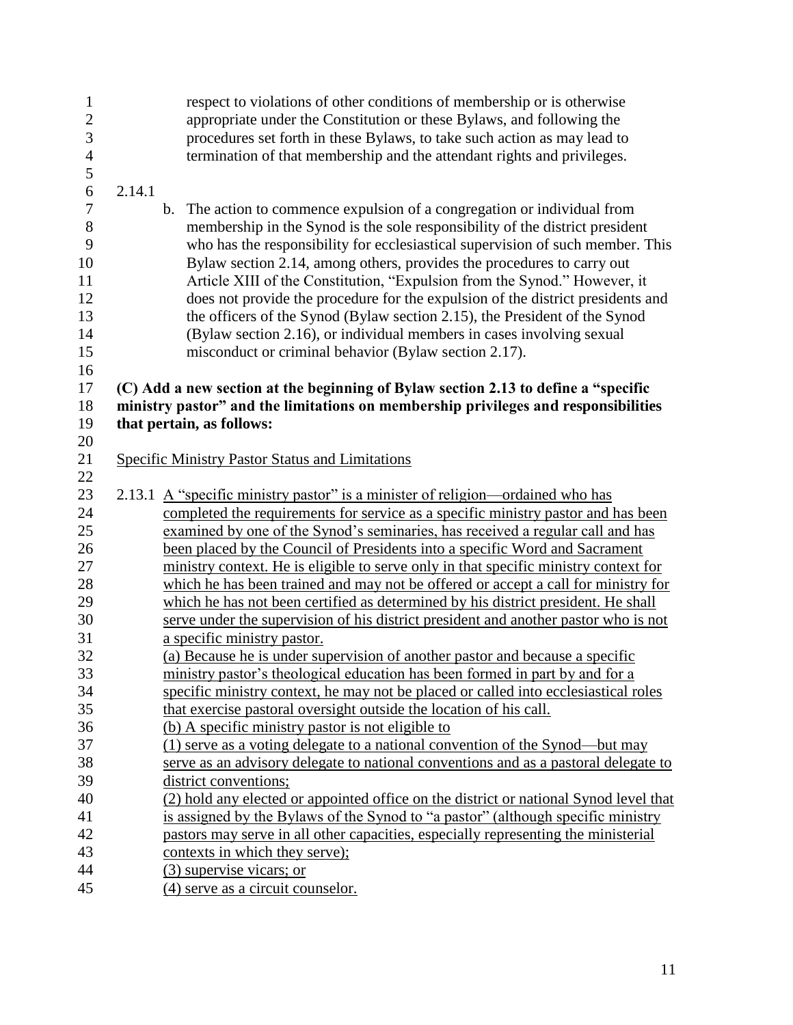| $\mathbf{1}$<br>$\overline{c}$ | respect to violations of other conditions of membership or is otherwise<br>appropriate under the Constitution or these Bylaws, and following the |
|--------------------------------|--------------------------------------------------------------------------------------------------------------------------------------------------|
| 3                              | procedures set forth in these Bylaws, to take such action as may lead to                                                                         |
| $\overline{4}$                 | termination of that membership and the attendant rights and privileges.                                                                          |
| 5                              |                                                                                                                                                  |
| 6                              | 2.14.1                                                                                                                                           |
| 7                              | b. The action to commence expulsion of a congregation or individual from                                                                         |
| 8                              | membership in the Synod is the sole responsibility of the district president                                                                     |
| 9                              | who has the responsibility for ecclesiastical supervision of such member. This                                                                   |
| 10                             | Bylaw section 2.14, among others, provides the procedures to carry out                                                                           |
| 11                             | Article XIII of the Constitution, "Expulsion from the Synod." However, it                                                                        |
| 12                             | does not provide the procedure for the expulsion of the district presidents and                                                                  |
| 13                             | the officers of the Synod (Bylaw section 2.15), the President of the Synod                                                                       |
| 14                             | (Bylaw section 2.16), or individual members in cases involving sexual                                                                            |
| 15                             | misconduct or criminal behavior (Bylaw section 2.17).                                                                                            |
| 16                             |                                                                                                                                                  |
| 17                             | (C) Add a new section at the beginning of Bylaw section 2.13 to define a "specific                                                               |
| 18                             | ministry pastor" and the limitations on membership privileges and responsibilities                                                               |
| 19                             | that pertain, as follows:                                                                                                                        |
| 20                             |                                                                                                                                                  |
| 21                             | <b>Specific Ministry Pastor Status and Limitations</b>                                                                                           |
| 22                             |                                                                                                                                                  |
| 23                             | 2.13.1 A "specific ministry pastor" is a minister of religion—ordained who has                                                                   |
| 24                             | completed the requirements for service as a specific ministry pastor and has been                                                                |
| 25                             | examined by one of the Synod's seminaries, has received a regular call and has                                                                   |
| 26                             | been placed by the Council of Presidents into a specific Word and Sacrament                                                                      |
| 27                             | ministry context. He is eligible to serve only in that specific ministry context for                                                             |
| 28                             | which he has been trained and may not be offered or accept a call for ministry for                                                               |
| 29                             | which he has not been certified as determined by his district president. He shall                                                                |
| 30                             | serve under the supervision of his district president and another pastor who is not                                                              |
| 31                             | a specific ministry pastor.                                                                                                                      |
| 32                             | (a) Because he is under supervision of another pastor and because a specific                                                                     |
| 33                             | ministry pastor's theological education has been formed in part by and for a                                                                     |
| 34                             | specific ministry context, he may not be placed or called into ecclesiastical roles                                                              |
| 35                             | that exercise pastoral oversight outside the location of his call.                                                                               |
| 36                             | (b) A specific ministry pastor is not eligible to                                                                                                |
| 37                             | (1) serve as a voting delegate to a national convention of the Synod—but may                                                                     |
| 38                             | serve as an advisory delegate to national conventions and as a pastoral delegate to                                                              |
| 39                             | district conventions;                                                                                                                            |
| 40                             | (2) hold any elected or appointed office on the district or national Synod level that                                                            |
| 41                             | is assigned by the Bylaws of the Synod to "a pastor" (although specific ministry                                                                 |
| 42                             | pastors may serve in all other capacities, especially representing the ministerial                                                               |
| 43                             | contexts in which they serve);                                                                                                                   |
| 44                             | (3) supervise vicars; or                                                                                                                         |
| 45                             | (4) serve as a circuit counselor.                                                                                                                |
|                                |                                                                                                                                                  |